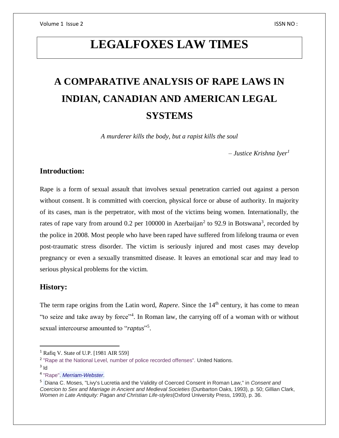## **LEGALFOXES LAW TIMES**

# **A COMPARATIVE ANALYSIS OF RAPE LAWS IN INDIAN, CANADIAN AND AMERICAN LEGAL SYSTEMS**

*A murderer kills the body, but a rapist kills the soul* 

*– Justice Krishna Iyer<sup>1</sup>*

### **Introduction:**

Rape is a form of sexual assault that involves sexual penetration carried out against a person without consent. It is committed with coercion, physical force or abuse of authority. In majority of its cases, man is the perpetrator, with most of the victims being women. Internationally, the rates of rape vary from around 0.2 per 100000 in Azerbaijan<sup>2</sup> to 92.9 in Botswana<sup>3</sup>, recorded by the police in 2008. Most people who have been raped have suffered from lifelong trauma or even post-traumatic stress disorder. The victim is seriously injured and most cases may develop pregnancy or even a sexually transmitted disease. It leaves an emotional scar and may lead to serious physical problems for the victim.

### **History:**

The term rape origins from the Latin word, *Rapere*. Since the 14<sup>th</sup> century, it has come to mean "to seize and take away by force"<sup>4</sup>. In Roman law, the carrying off of a woman with or without sexual intercourse amounted to "*raptus*"<sup>5</sup>.

 $3$  ld

 $\overline{\phantom{a}}$ 

<sup>&</sup>lt;sup>1</sup> Rafiq V. State of U.P. [1981 AIR 559]

<sup>&</sup>lt;sup>2</sup> ["Rape at the National Level, number of police recorded offenses".](http://www.unodc.org/documents/data-and-analysis/Crime-statistics/Sexual_violence_sv_against_children_and_rape.xls) United Nations.

<sup>4</sup> ["Rape".](http://www.merriam-webster.com/dictionary/rape%5B3%5D) *[Merriam-Webster](https://en.wikipedia.org/wiki/Merriam-Webster)*.

<sup>5</sup> Diana C. Moses, "Livy's Lucretia and the Validity of Coerced Consent in Roman Law," in *Consent and Coercion to Sex and Marriage in Ancient and Medieval Societies* (Dunbarton Oaks, 1993), p. 50; Gillian Clark, *Women in Late Antiquity: Pagan and Christian Life-styles*(Oxford University Press, 1993), p. 36.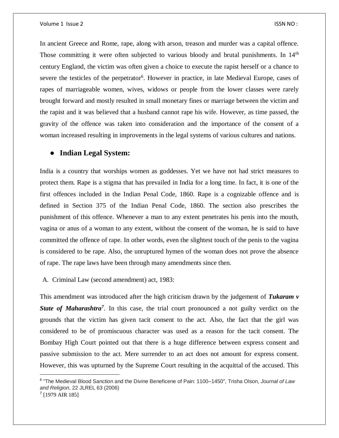In ancient Greece and Rome, rape, along with arson, treason and murder was a capital offence. Those committing it were often subjected to various bloody and brutal punishments. In 14<sup>th</sup> century England, the victim was often given a choice to execute the rapist herself or a chance to severe the testicles of the perpetrator<sup>6</sup>. However in practice, in late Medieval Europe, cases of rapes of marriageable women, wives, widows or people from the lower classes were rarely brought forward and mostly resulted in small monetary fines or marriage between the victim and the rapist and it was believed that a husband cannot rape his wife. However, as time passed, the gravity of the offence was taken into consideration and the importance of the consent of a woman increased resulting in improvements in the legal systems of various cultures and nations.

### ● **Indian Legal System:**

India is a country that worships women as goddesses. Yet we have not had strict measures to protect them. Rape is a stigma that has prevailed in India for a long time. In fact, it is one of the first offences included in the Indian Penal Code, 1860. Rape is a cognizable offence and is defined in Section 375 of the Indian Penal Code, 1860. The section also prescribes the punishment of this offence. Whenever a man to any extent penetrates his penis into the mouth, vagina or anus of a woman to any extent, without the consent of the woman, he is said to have committed the offence of rape. In other words, even the slightest touch of the penis to the vagina is considered to be rape. Also, the unruptured hymen of the woman does not prove the absence of rape. The rape laws have been through many amendments since then.

A. Criminal Law (second amendment) act, 1983:

 $\overline{\phantom{a}}$ 

This amendment was introduced after the high criticism drawn by the judgement of *Tukaram v*  State of Maharashtra<sup>7</sup>. In this case, the trial court pronounced a not guilty verdict on the grounds that the victim has given tacit consent to the act. Also, the fact that the girl was considered to be of promiscuous character was used as a reason for the tacit consent. The Bombay High Court pointed out that there is a huge difference between express consent and passive submission to the act. Mere surrender to an act does not amount for express consent. However, this was upturned by the Supreme Court resulting in the acquittal of the accused. This

<sup>6</sup> "The Medieval Blood Sanction and the Divine Beneficene of Pain: 1100–1450", Trisha Olson, *Journal of Law and Religion*, 22 JLREL 63 (2006) 7 [1979 AIR 185]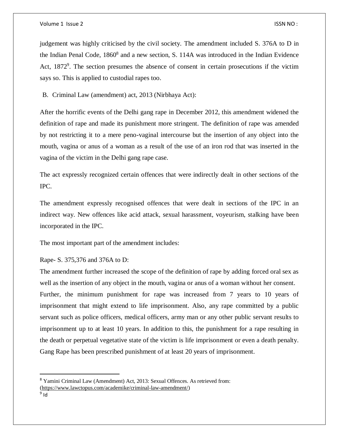#### Volume 1 Issue 2 ISSN NO :

judgement was highly criticised by the civil society. The amendment included S. 376A to D in the Indian Penal Code, 1860<sup>8</sup> and a new section, S. 114A was introduced in the Indian Evidence Act, 1872<sup>9</sup>. The section presumes the absence of consent in certain prosecutions if the victim says so. This is applied to custodial rapes too.

B. Criminal Law (amendment) act, 2013 (Nirbhaya Act):

After the horrific events of the Delhi gang rape in December 2012, this amendment widened the definition of rape and made its punishment more stringent. The definition of rape was amended by not restricting it to a mere peno-vaginal intercourse but the insertion of any object into the mouth, vagina or anus of a woman as a result of the use of an iron rod that was inserted in the vagina of the victim in the Delhi gang rape case.

The act expressly recognized certain offences that were indirectly dealt in other sections of the IPC.

The amendment expressly recognised offences that were dealt in sections of the IPC in an indirect way. New offences like acid attack, sexual harassment, voyeurism, stalking have been incorporated in the IPC.

The most important part of the amendment includes:

Rape- S. 375,376 and 376A to D:

The amendment further increased the scope of the definition of rape by adding forced oral sex as well as the insertion of any object in the mouth, vagina or anus of a woman without her consent. Further, the minimum punishment for rape was increased from 7 years to 10 years of imprisonment that might extend to life imprisonment. Also, any rape committed by a public servant such as police officers, medical officers, army man or any other public servant results to imprisonment up to at least 10 years. In addition to this, the punishment for a rape resulting in the death or perpetual vegetative state of the victim is life imprisonment or even a death penalty. Gang Rape has been prescribed punishment of at least 20 years of imprisonment.

 $\overline{\phantom{a}}$ 

<sup>8</sup> Yamini Criminal Law (Amendment) Act, 2013: Sexual Offences. As retrieved from: [\(https://www.lawctopus.com/academike/criminal-law-amendment/\)](https://www.lawctopus.com/academike/criminal-law-amendment/)

<sup>&</sup>lt;sup>9</sup> Id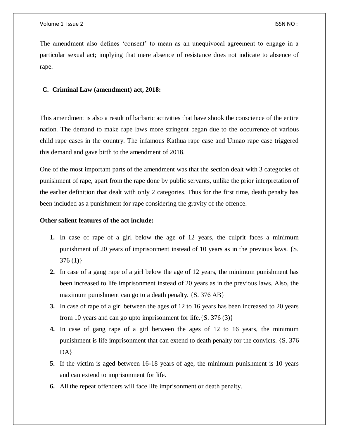The amendment also defines 'consent' to mean as an unequivocal agreement to engage in a particular sexual act; implying that mere absence of resistance does not indicate to absence of rape.

#### **C. Criminal Law (amendment) act, 2018:**

This amendment is also a result of barbaric activities that have shook the conscience of the entire nation. The demand to make rape laws more stringent began due to the occurrence of various child rape cases in the country. The infamous Kathua rape case and Unnao rape case triggered this demand and gave birth to the amendment of 2018.

One of the most important parts of the amendment was that the section dealt with 3 categories of punishment of rape, apart from the rape done by public servants, unlike the prior interpretation of the earlier definition that dealt with only 2 categories. Thus for the first time, death penalty has been included as a punishment for rape considering the gravity of the offence.

#### **Other salient features of the act include:**

- **1.** In case of rape of a girl below the age of 12 years, the culprit faces a minimum punishment of 20 years of imprisonment instead of 10 years as in the previous laws. {S.  $376(1)$
- **2.** In case of a gang rape of a girl below the age of 12 years, the minimum punishment has been increased to life imprisonment instead of 20 years as in the previous laws. Also, the maximum punishment can go to a death penalty.  $\{S. 376 AB\}$
- **3.** In case of rape of a girl between the ages of 12 to 16 years has been increased to 20 years from 10 years and can go upto imprisonment for life. ${S. 376 (3)}$
- **4.** In case of gang rape of a girl between the ages of 12 to 16 years, the minimum punishment is life imprisonment that can extend to death penalty for the convicts. {S. 376 DA}
- **5.** If the victim is aged between 16-18 years of age, the minimum punishment is 10 years and can extend to imprisonment for life.
- **6.** All the repeat offenders will face life imprisonment or death penalty.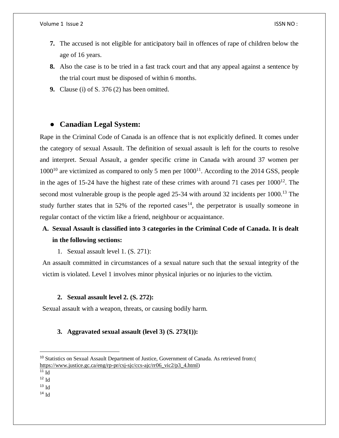- **7.** The accused is not eligible for anticipatory bail in offences of rape of children below the age of 16 years.
- **8.** Also the case is to be tried in a fast track court and that any appeal against a sentence by the trial court must be disposed of within 6 months.
- **9.** Clause (i) of S. 376 (2) has been omitted.

### ● **Canadian Legal System:**

Rape in the Criminal Code of Canada is an offence that is not explicitly defined. It comes under the category of sexual Assault. The definition of sexual assault is left for the courts to resolve and interpret. Sexual Assault, a gender specific crime in Canada with around 37 women per  $1000^{10}$  are victimized as compared to only 5 men per  $1000^{11}$ . According to the 2014 GSS, people in the ages of 15-24 have the highest rate of these crimes with around 71 cases per  $1000^{12}$ . The second most vulnerable group is the people aged  $25-34$  with around 32 incidents per 1000.<sup>13</sup> The study further states that in 52% of the reported cases<sup>14</sup>, the perpetrator is usually someone in regular contact of the victim like a friend, neighbour or acquaintance.

### **A. Sexual Assault is classified into 3 categories in the Criminal Code of Canada. It is dealt in the following sections:**

1. Sexual assault level 1. (S. 271):

An assault committed in circumstances of a sexual nature such that the sexual integrity of the victim is violated. Level 1 involves minor physical injuries or no injuries to the victim.

#### **2. Sexual assault level 2. (S. 272):**

Sexual assault with a weapon, threats, or causing bodily harm.

### **3. Aggravated sexual assault (level 3) (S. 273(1)):**

 $\overline{a}$ 

 $14$  Id

<sup>10</sup> Statistics on Sexual Assault Department of Justice, Government of Canada. As retrieved from:( [https://www.justice.gc.ca/eng/rp-pr/csj-sjc/ccs-ajc/rr06\\_vic2/p3\\_4.html\)](https://www.justice.gc.ca/eng/rp-pr/csj-sjc/ccs-ajc/rr06_vic2/p3_4.html)

 $\overline{11}$  Id

 $^{12}$  Id

 $13$  Id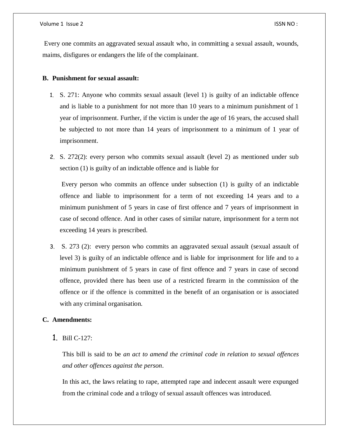Every one commits an aggravated sexual assault who, in committing a sexual assault, wounds, maims, disfigures or endangers the life of the complainant.

#### **B. Punishment for sexual assault:**

- 1. S. 271: Anyone who commits sexual assault (level 1) is guilty of an indictable offence and is liable to a punishment for not more than 10 years to a minimum punishment of 1 year of imprisonment. Further, if the victim is under the age of 16 years, the accused shall be subjected to not more than 14 years of imprisonment to a minimum of 1 year of imprisonment.
- 2. S. 272(2): every person who commits sexual assault (level 2) as mentioned under sub section (1) is guilty of an indictable offence and is liable for

Every person who commits an offence under subsection (1) is guilty of an indictable offence and liable to imprisonment for a term of not exceeding 14 years and to a minimum punishment of 5 years in case of first offence and 7 years of imprisonment in case of second offence. And in other cases of similar nature, imprisonment for a term not exceeding 14 years is prescribed.

3. S. 273 (2): every person who commits an aggravated sexual assault (sexual assault of level 3) is guilty of an indictable offence and is liable for imprisonment for life and to a minimum punishment of 5 years in case of first offence and 7 years in case of second offence, provided there has been use of a restricted firearm in the commission of the offence or if the offence is committed in the benefit of an organisation or is associated with any criminal organisation.

### **C. Amendments:**

1. Bill C-127:

This bill is said to be *an act to amend the criminal code in relation to sexual offences and other offences against the person*.

In this act, the laws relating to rape, attempted rape and indecent assault were expunged from the criminal code and a trilogy of sexual assault offences was introduced.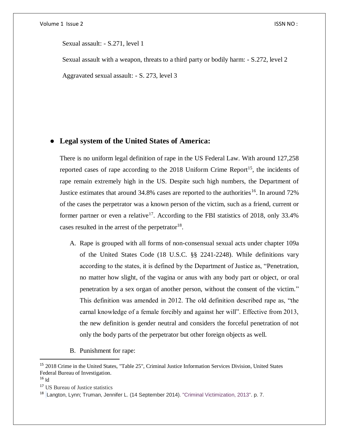Sexual assault: - S.271, level 1

Sexual assault with a weapon, threats to a third party or bodily harm: - S.272, level 2

Aggravated sexual assault: - S. 273, level 3

### ● **Legal system of the United States of America:**

There is no uniform legal definition of rape in the US Federal Law. With around 127,258 reported cases of rape according to the  $2018$  Uniform Crime Report<sup>15</sup>, the incidents of rape remain extremely high in the US. Despite such high numbers, the Department of Justice estimates that around 34.8% cases are reported to the authorities<sup>16</sup>. In around 72% of the cases the perpetrator was a known person of the victim, such as a friend, current or former partner or even a relative<sup>17</sup>. According to the FBI statistics of 2018, only 33.4% cases resulted in the arrest of the perpetrator $^{18}$ .

- A. Rape is grouped with all forms of non-consensual sexual acts under chapter 109a of the United States Code (18 U.S.C. §§ 2241-2248). While definitions vary according to the states, it is defined by the Department of Justice as, "Penetration, no matter how slight, of the vagina or anus with any body part or object, or oral penetration by a sex organ of another person, without the consent of the victim." This definition was amended in 2012. The old definition described rape as, "the carnal knowledge of a female forcibly and against her will". Effective from 2013, the new definition is gender neutral and considers the forceful penetration of not only the body parts of the perpetrator but other foreign objects as well.
- B. Punishment for rape:

 $\overline{a}$ 

<sup>15</sup> 2018 Crime in the United States, ["Table 25"](https://ucr.fbi.gov/crime-in-the-u.s/2018/crime-in-the-u.s.-2018/topic-pages/tables/table-25), Criminal Justice Information Services Division, United States [Federal Bureau of Investigation.](https://en.wikipedia.org/wiki/Federal_Bureau_of_Investigation)

 $16$  Id

<sup>17</sup> US Bureau of Justice statistics

<sup>&</sup>lt;sup>18</sup> Langton, Lynn; Truman, Jennifer L. (14 September 2014). ["Criminal Victimization, 2013".](https://www.bjs.gov/index.cfm?ty=pbdetail&iid=5111) p. 7.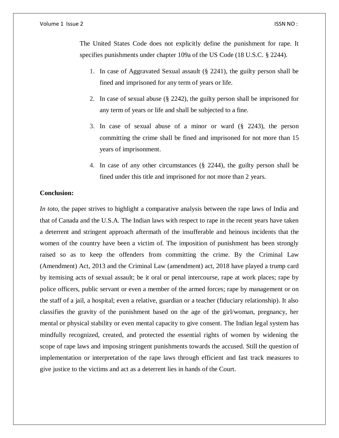#### Volume 1 Issue 2 ISSN NO :

The United States Code does not explicitly define the punishment for rape. It specifies punishments under chapter 109a of the US Code (18 U.S.C. § 2244).

- 1. In case of Aggravated Sexual assault (§ 2241), the guilty person shall be fined and imprisoned for any term of years or life.
- 2. In case of sexual abuse (§ 2242), the guilty person shall be imprisoned for any term of years or life and shall be subjected to a fine.
- 3. In case of sexual abuse of a minor or ward (§ 2243), the person committing the crime shall be fined and imprisoned for not more than 15 years of imprisonment.
- 4. In case of any other circumstances (§ 2244), the guilty person shall be fined under this title and imprisoned for not more than 2 years.

### **Conclusion:**

*In toto*, the paper strives to highlight a comparative analysis between the rape laws of India and that of Canada and the U.S.A. The Indian laws with respect to rape in the recent years have taken a deterrent and stringent approach aftermath of the insufferable and heinous incidents that the women of the country have been a victim of. The imposition of punishment has been strongly raised so as to keep the offenders from committing the crime. By the Criminal Law (Amendment) Act, 2013 and the Criminal Law (amendment) act, 2018 have played a trump card by itemising acts of sexual assault; be it oral or penal intercourse, rape at work places; rape by police officers, public servant or even a member of the armed forces; rape by management or on the staff of a jail, a hospital; even a relative, guardian or a teacher (fiduciary relationship). It also classifies the gravity of the punishment based on the age of the girl/woman, pregnancy, her mental or physical stability or even mental capacity to give consent. The Indian legal system has mindfully recognized, created, and protected the essential rights of women by widening the scope of rape laws and imposing stringent punishments towards the accused. Still the question of implementation or interpretation of the rape laws through efficient and fast track measures to give justice to the victims and act as a deterrent lies in hands of the Court.